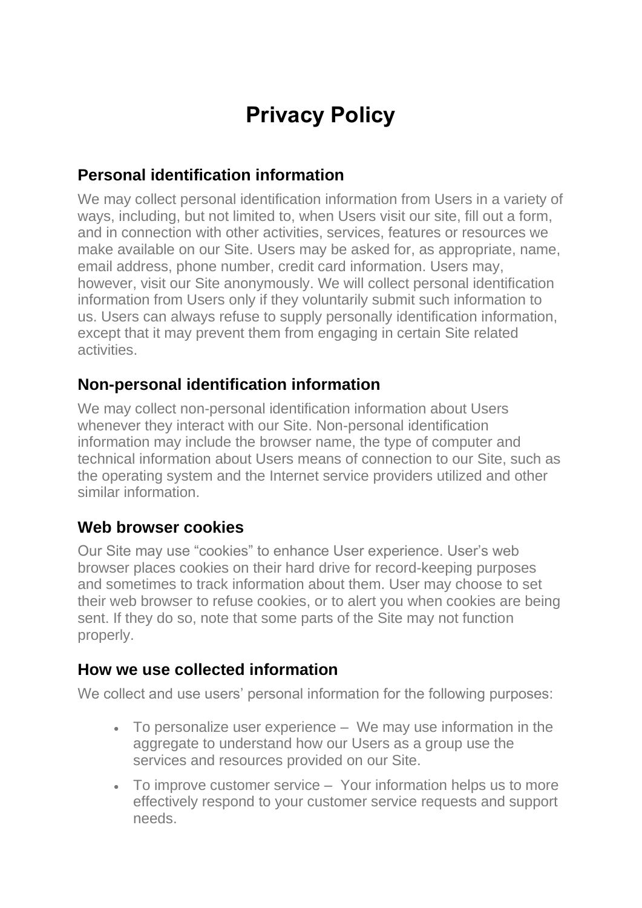# **Privacy Policy**

## **Personal identification information**

We may collect personal identification information from Users in a variety of ways, including, but not limited to, when Users visit our site, fill out a form, and in connection with other activities, services, features or resources we make available on our Site. Users may be asked for, as appropriate, name, email address, phone number, credit card information. Users may, however, visit our Site anonymously. We will collect personal identification information from Users only if they voluntarily submit such information to us. Users can always refuse to supply personally identification information, except that it may prevent them from engaging in certain Site related activities.

#### **Non-personal identification information**

We may collect non-personal identification information about Users whenever they interact with our Site. Non-personal identification information may include the browser name, the type of computer and technical information about Users means of connection to our Site, such as the operating system and the Internet service providers utilized and other similar information.

#### **Web browser cookies**

Our Site may use "cookies" to enhance User experience. User's web browser places cookies on their hard drive for record-keeping purposes and sometimes to track information about them. User may choose to set their web browser to refuse cookies, or to alert you when cookies are being sent. If they do so, note that some parts of the Site may not function properly.

#### **How we use collected information**

We collect and use users' personal information for the following purposes:

- To personalize user experience We may use information in the aggregate to understand how our Users as a group use the services and resources provided on our Site.
- To improve customer service Your information helps us to more effectively respond to your customer service requests and support needs.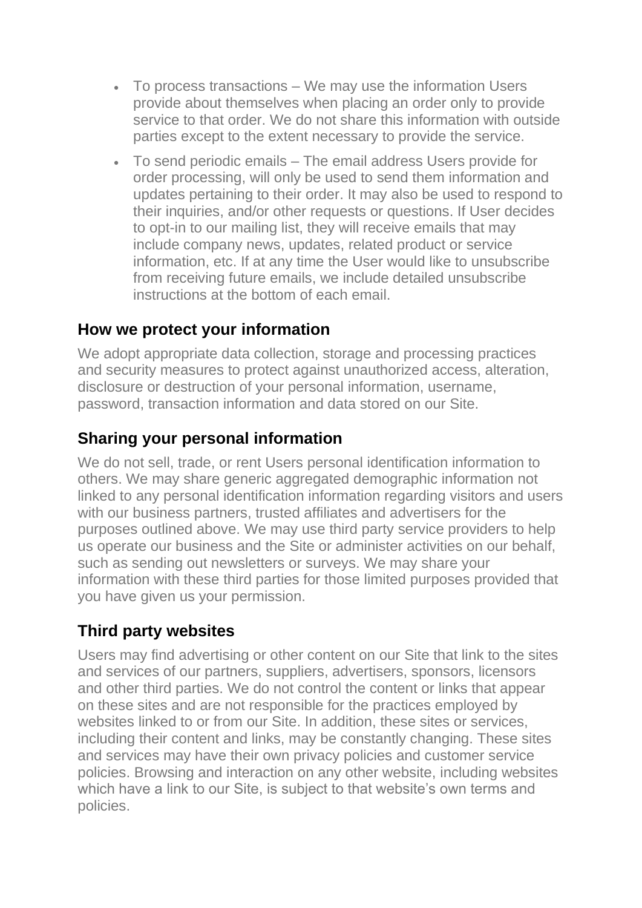- To process transactions We may use the information Users provide about themselves when placing an order only to provide service to that order. We do not share this information with outside parties except to the extent necessary to provide the service.
- To send periodic emails The email address Users provide for order processing, will only be used to send them information and updates pertaining to their order. It may also be used to respond to their inquiries, and/or other requests or questions. If User decides to opt-in to our mailing list, they will receive emails that may include company news, updates, related product or service information, etc. If at any time the User would like to unsubscribe from receiving future emails, we include detailed unsubscribe instructions at the bottom of each email.

## **How we protect your information**

We adopt appropriate data collection, storage and processing practices and security measures to protect against unauthorized access, alteration, disclosure or destruction of your personal information, username, password, transaction information and data stored on our Site.

# **Sharing your personal information**

We do not sell, trade, or rent Users personal identification information to others. We may share generic aggregated demographic information not linked to any personal identification information regarding visitors and users with our business partners, trusted affiliates and advertisers for the purposes outlined above. We may use third party service providers to help us operate our business and the Site or administer activities on our behalf, such as sending out newsletters or surveys. We may share your information with these third parties for those limited purposes provided that you have given us your permission.

## **Third party websites**

Users may find advertising or other content on our Site that link to the sites and services of our partners, suppliers, advertisers, sponsors, licensors and other third parties. We do not control the content or links that appear on these sites and are not responsible for the practices employed by websites linked to or from our Site. In addition, these sites or services, including their content and links, may be constantly changing. These sites and services may have their own privacy policies and customer service policies. Browsing and interaction on any other website, including websites which have a link to our Site, is subject to that website's own terms and policies.